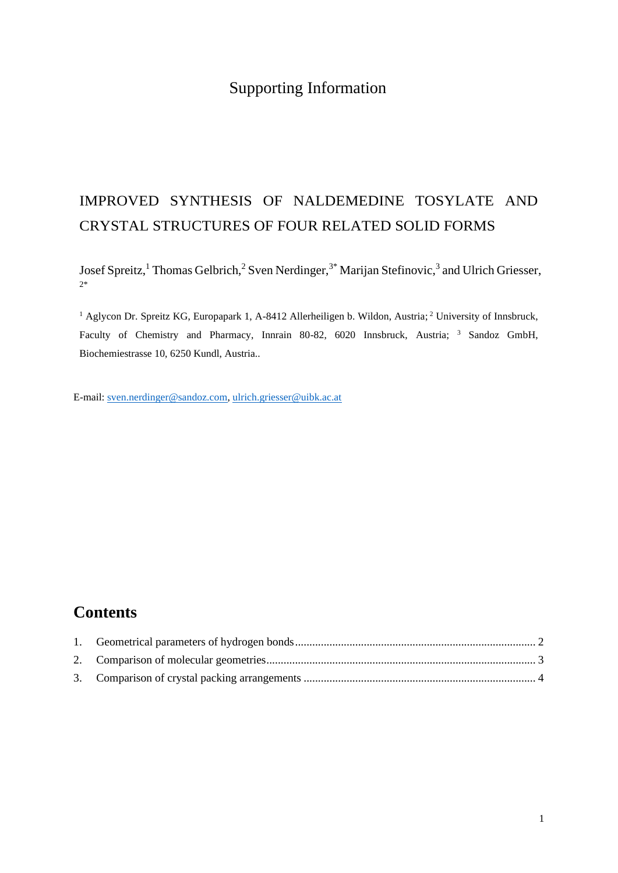# Supporting Information

# IMPROVED SYNTHESIS OF NALDEMEDINE TOSYLATE AND CRYSTAL STRUCTURES OF FOUR RELATED SOLID FORMS

Josef Spreitz,<sup>1</sup> Thomas Gelbrich,<sup>2</sup> Sven Nerdinger,<sup>3\*</sup> Marijan Stefinovic,<sup>3</sup> and Ulrich Griesser, 2\*

<sup>1</sup> Aglycon Dr. Spreitz KG, Europapark 1, A-8412 Allerheiligen b. Wildon, Austria; <sup>2</sup> University of Innsbruck, Faculty of Chemistry and Pharmacy, Innrain 80-82, 6020 Innsbruck, Austria; <sup>3</sup> Sandoz GmbH, Biochemiestrasse 10, 6250 Kundl, Austria..

E-mail: [sven.nerdinger@sandoz.com,](mailto:sven.nerdinger@sandoz.com) [ulrich.griesser@uibk.ac.at](mailto:ulrich.griesser@uibk.ac.at)

## **Contents**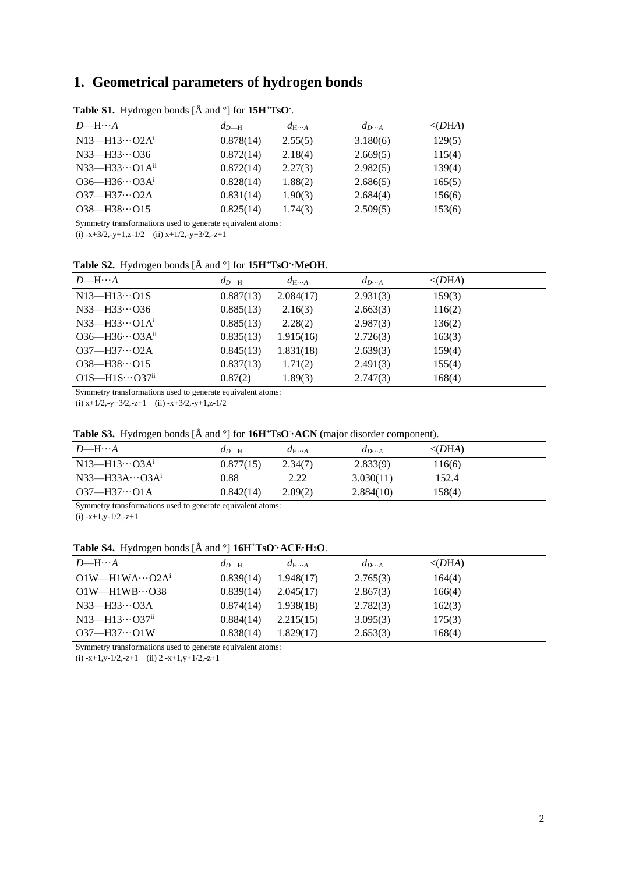### <span id="page-1-0"></span>**1. Geometrical parameters of hydrogen bonds**

| $D$ —H… $A$                     | $d_{D-H}$ | $d_{\mathrm{H}\cdots A}$ | $d_{D\cdots A}$ | $\langle$ (DHA) |
|---------------------------------|-----------|--------------------------|-----------------|-----------------|
| $N13$ —H $13O2A1$               | 0.878(14) | 2.55(5)                  | 3.180(6)        | 129(5)          |
| $N33$ —H $33$ O36               | 0.872(14) | 2.18(4)                  | 2.669(5)        | 115(4)          |
| $N33$ —H $33$ O1A <sup>ii</sup> | 0.872(14) | 2.27(3)                  | 2.982(5)        | 139(4)          |
| $O36 - H36 \cdots O3A^{i}$      | 0.828(14) | 1.88(2)                  | 2.686(5)        | 165(5)          |
| $O37 - H37 \cdots O2A$          | 0.831(14) | 1.90(3)                  | 2.684(4)        | 156(6)          |
| $O38 - H38 \cdots O15$          | 0.825(14) | 1.74(3)                  | 2.509(5)        | 153(6)          |

**Table S1.** Hydrogen bonds [Å and °] for **15H<sup>+</sup>TsO-** .

Symmetry transformations used to generate equivalent atoms:

(i)  $-x+3/2$ ,  $-y+1$ ,  $z-1/2$  (ii)  $x+1/2$ ,  $-y+3/2$ ,  $-z+1$ 

**Table S2.** Hydrogen bonds [Å and °] for **15H<sup>+</sup>TsO- ·MeOH**.

| $D$ —H… $A$                           | $d_{D-H}$ | $d_{\mathrm{H}\cdots A}$ | $d_{D\cdots A}$ | $\langle$ (DHA) |
|---------------------------------------|-----------|--------------------------|-----------------|-----------------|
| $N13 - H13 \cdots O1S$                | 0.887(13) | 2.084(17)                | 2.931(3)        | 159(3)          |
| $N33$ —H $33$ O36                     | 0.885(13) | 2.16(3)                  | 2.663(3)        | 116(2)          |
| $N33$ —H $33\cdots$ O1A <sup>i</sup>  | 0.885(13) | 2.28(2)                  | 2.987(3)        | 136(2)          |
| $O36 - H36 \cdots O3A^{ii}$           | 0.835(13) | 1.915(16)                | 2.726(3)        | 163(3)          |
| $O37 - H37 \cdots O2A$                | 0.845(13) | 1.831(18)                | 2.639(3)        | 159(4)          |
| $O38 - H38 \cdots O15$                | 0.837(13) | 1.71(2)                  | 2.491(3)        | 155(4)          |
| $O1S$ —H $1S\cdots$ O37 <sup>ii</sup> | 0.87(2)   | 1.89(3)                  | 2.747(3)        | 168(4)          |

Symmetry transformations used to generate equivalent atoms:

(i)  $x+1/2$ ,  $-y+3/2$ ,  $-z+1$  (ii)  $-x+3/2$ ,  $-y+1$ ,  $z-1/2$ 

### **Table S3.** Hydrogen bonds [Å and °] for **16H<sup>+</sup>TsO- ·ACN** (major disorder component).

| $D$ —H… $A$                  | $d_{D-H}$ | $d_{\text{H}\cdots A}$ | $d_{D\cdots A}$ | $\langle$ (DHA) |
|------------------------------|-----------|------------------------|-----------------|-----------------|
| $N13 - H13 \cdots Q3A^{i}$   | 0.877(15) | 2.34(7)                | 2.833(9)        | 116(6)          |
| $N33$ —H33A…O3A <sup>1</sup> | 0.88      | 2.22                   | 3.030(11)       | 152.4           |
| $O37 - H37 \cdots O1A$       | 0.842(14) | 2.09(2)                | 2.884(10)       | 158(4)          |

Symmetry transformations used to generate equivalent atoms:

 $(i)$  -x+1,y-1/2,-z+1

#### **Table S4.** Hydrogen bonds [Å and °] **16H<sup>+</sup>TsO- ·ACE·H2O**.

| $D$ —H… $A$                           | $d_{D-H}$ | $d_{\mathrm{H}\cdots A}$ | $d_{D\cdots A}$ | $\langle$ (DHA) |
|---------------------------------------|-----------|--------------------------|-----------------|-----------------|
| $O1W$ —H1WA $\cdots$ O2A <sup>i</sup> | 0.839(14) | 1.948(17)                | 2.765(3)        | 164(4)          |
| $O1W$ —H $1WB\cdots$ $O38$            | 0.839(14) | 2.045(17)                | 2.867(3)        | 166(4)          |
| $N33$ —H $33O3A$                      | 0.874(14) | 1.938(18)                | 2.782(3)        | 162(3)          |
| $N13$ —H $13O37$ <sup>ii</sup>        | 0.884(14) | 2.215(15)                | 3.095(3)        | 175(3)          |
| $O37 - H37 \cdots O1W$                | 0.838(14) | 1.829(17)                | 2.653(3)        | 168(4)          |

Symmetry transformations used to generate equivalent atoms:

(i)  $-x+1$ ,  $y-1/2$ ,  $-z+1$  (ii)  $2-x+1$ ,  $y+1/2$ ,  $-z+1$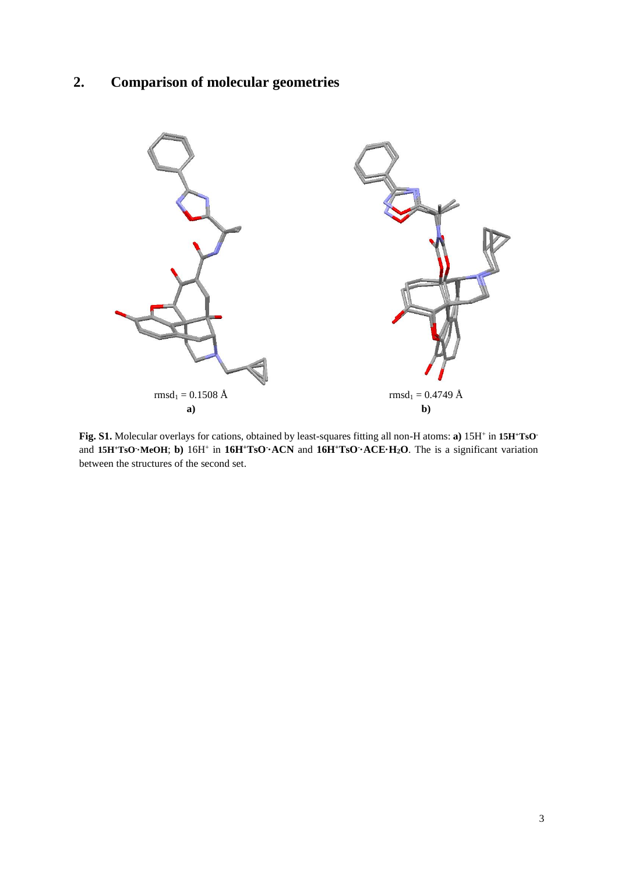# <span id="page-2-0"></span>**2. Comparison of molecular geometries**



**Fig. S1.** Molecular overlays for cations, obtained by least-squares fitting all non-H atoms: **a)** 15H<sup>+</sup> in **15H+TsO**and **15H<sup>+</sup>TsO- ·MeOH**; **b)** 16H<sup>+</sup> in **16H<sup>+</sup>TsO- ·ACN** and **16H<sup>+</sup>TsO- ·ACE·H2O**. The is a significant variation between the structures of the second set.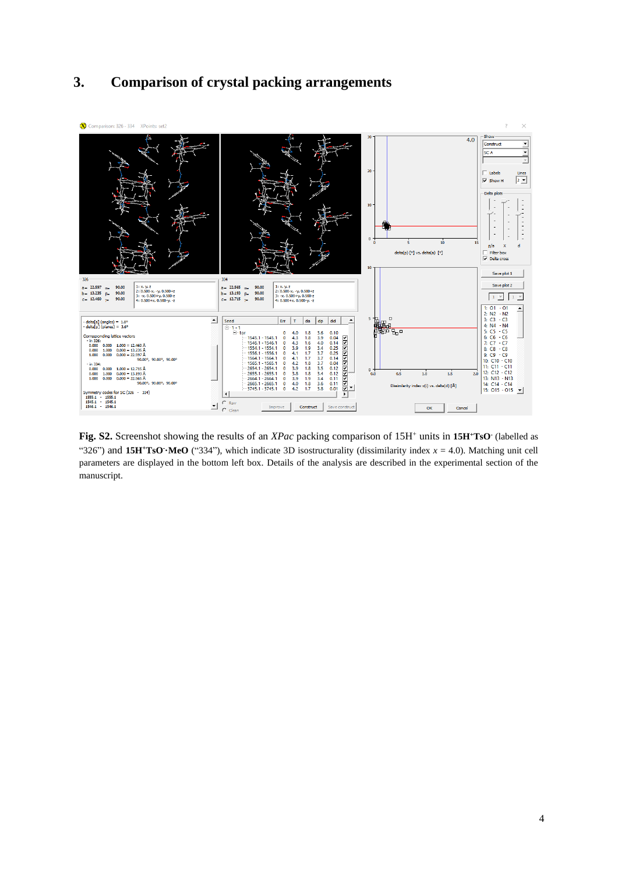<span id="page-3-0"></span>



**Fig. S2.** Screenshot showing the results of an *XPac* packing comparison of 15H<sup>+</sup> units in 15H<sup>+</sup>**TsO**<sup>-</sup> (labelled as "326") and  $15H$ <sup>+</sup>**TsO**<sup> $\cdot$ </sup>**MeO** ("334"), which indicate 3D isostructurality (dissimilarity index  $x = 4.0$ ). Matching unit cell parameters are displayed in the bottom left box. Details of the analysis are described in the experimental section of the manuscript.